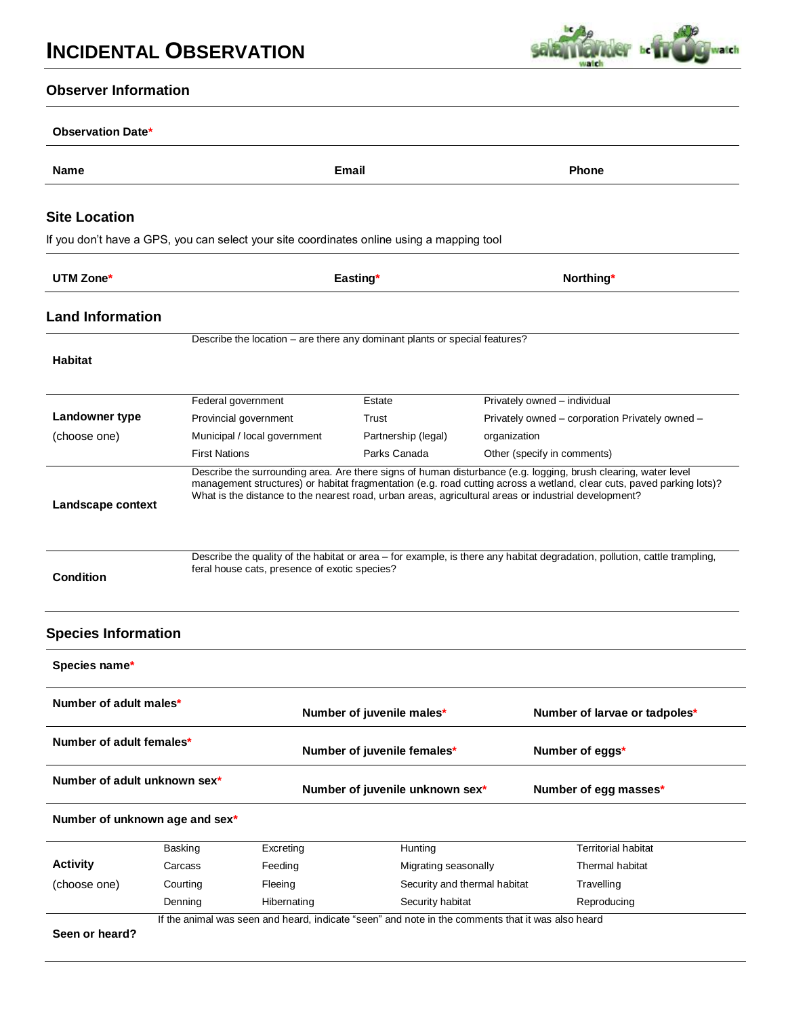

# **Observer Information**

| <b>Name</b>                                                                                                    |                       | Email                                         |                                                                                                      | <b>Phone</b>                 |                                                                                                                                                                                                                                                                                                                                                                      |  |
|----------------------------------------------------------------------------------------------------------------|-----------------------|-----------------------------------------------|------------------------------------------------------------------------------------------------------|------------------------------|----------------------------------------------------------------------------------------------------------------------------------------------------------------------------------------------------------------------------------------------------------------------------------------------------------------------------------------------------------------------|--|
| <b>Site Location</b>                                                                                           |                       |                                               |                                                                                                      |                              |                                                                                                                                                                                                                                                                                                                                                                      |  |
|                                                                                                                |                       |                                               | If you don't have a GPS, you can select your site coordinates online using a mapping tool            |                              |                                                                                                                                                                                                                                                                                                                                                                      |  |
| UTM Zone*                                                                                                      |                       |                                               | Easting*                                                                                             |                              | Northing*                                                                                                                                                                                                                                                                                                                                                            |  |
|                                                                                                                |                       |                                               |                                                                                                      |                              |                                                                                                                                                                                                                                                                                                                                                                      |  |
| <b>Land Information</b>                                                                                        |                       |                                               |                                                                                                      |                              |                                                                                                                                                                                                                                                                                                                                                                      |  |
|                                                                                                                |                       |                                               | Describe the location - are there any dominant plants or special features?                           |                              |                                                                                                                                                                                                                                                                                                                                                                      |  |
| <b>Habitat</b>                                                                                                 |                       |                                               |                                                                                                      |                              |                                                                                                                                                                                                                                                                                                                                                                      |  |
|                                                                                                                | Federal government    |                                               | Estate                                                                                               |                              | Privately owned - individual                                                                                                                                                                                                                                                                                                                                         |  |
| Landowner type                                                                                                 | Provincial government |                                               | Trust                                                                                                |                              | Privately owned - corporation Privately owned -                                                                                                                                                                                                                                                                                                                      |  |
| (choose one)                                                                                                   |                       | Municipal / local government                  | Partnership (legal)                                                                                  | organization                 |                                                                                                                                                                                                                                                                                                                                                                      |  |
|                                                                                                                | <b>First Nations</b>  |                                               | Parks Canada                                                                                         |                              | Other (specify in comments)                                                                                                                                                                                                                                                                                                                                          |  |
|                                                                                                                |                       | feral house cats, presence of exotic species? | What is the distance to the nearest road, urban areas, agricultural areas or industrial development? |                              | Describe the surrounding area. Are there signs of human disturbance (e.g. logging, brush clearing, water level<br>management structures) or habitat fragmentation (e.g. road cutting across a wetland, clear cuts, paved parking lots)?<br>Describe the quality of the habitat or area - for example, is there any habitat degradation, pollution, cattle trampling, |  |
|                                                                                                                |                       |                                               |                                                                                                      |                              |                                                                                                                                                                                                                                                                                                                                                                      |  |
| Landscape context<br><b>Condition</b><br><b>Species Information</b><br>Species name*<br>Number of adult males* |                       |                                               | Number of juvenile males*                                                                            |                              | Number of larvae or tadpoles*                                                                                                                                                                                                                                                                                                                                        |  |
| Number of adult females*                                                                                       |                       |                                               | Number of juvenile females*                                                                          |                              | Number of eggs*                                                                                                                                                                                                                                                                                                                                                      |  |
| Number of adult unknown sex*                                                                                   |                       |                                               | Number of juvenile unknown sex*                                                                      |                              | Number of egg masses*                                                                                                                                                                                                                                                                                                                                                |  |
| Number of unknown age and sex*                                                                                 |                       |                                               |                                                                                                      |                              |                                                                                                                                                                                                                                                                                                                                                                      |  |
|                                                                                                                | Basking               | Excreting                                     | Hunting                                                                                              |                              | <b>Territorial habitat</b>                                                                                                                                                                                                                                                                                                                                           |  |
| <b>Activity</b>                                                                                                | Carcass               | Feeding                                       | Migrating seasonally                                                                                 |                              | Thermal habitat                                                                                                                                                                                                                                                                                                                                                      |  |
| (choose one)                                                                                                   | Courting              | Fleeing                                       |                                                                                                      | Security and thermal habitat | Travelling                                                                                                                                                                                                                                                                                                                                                           |  |